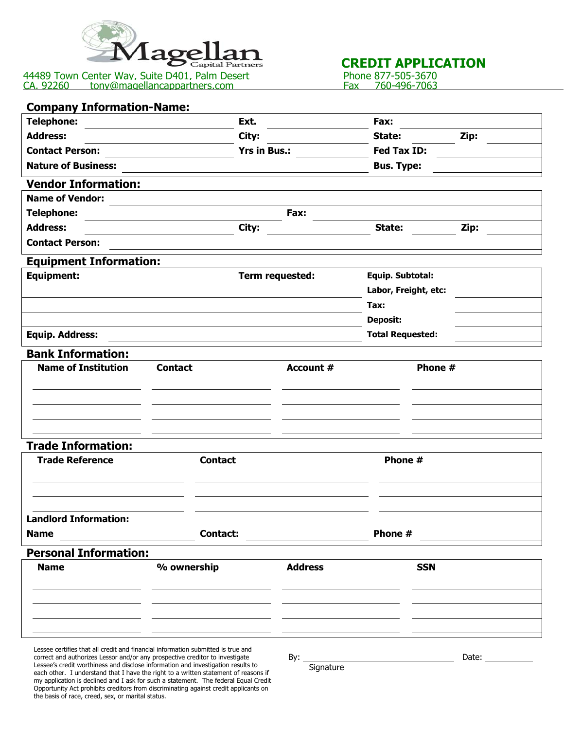

44489 Town Center Wav. Suite D401. Palm Desert Phone 877-505-3670 CA. 92260 **bilion tony**@magellancappartners.com Fax 760-496-7063

## **CREDIT APPLICATION**<br>Phone 877-505-3670<br>Fax 760-496-7063

| <b>Company Information-Name:</b>                                                                                                                                 |                     |                  |                         |       |
|------------------------------------------------------------------------------------------------------------------------------------------------------------------|---------------------|------------------|-------------------------|-------|
| <b>Telephone:</b>                                                                                                                                                | Ext.                |                  | Fax:                    |       |
| <b>Address:</b>                                                                                                                                                  | City:               |                  | State:                  | Zip:  |
| <b>Contact Person:</b>                                                                                                                                           | <b>Yrs in Bus.:</b> |                  | Fed Tax ID:             |       |
| <b>Nature of Business:</b>                                                                                                                                       |                     |                  | <b>Bus. Type:</b>       |       |
| <b>Vendor Information:</b>                                                                                                                                       |                     |                  |                         |       |
| <b>Name of Vendor:</b>                                                                                                                                           |                     |                  |                         |       |
| <b>Telephone:</b>                                                                                                                                                |                     | Fax:             |                         |       |
| <b>Address:</b>                                                                                                                                                  | City:               |                  | State:                  | Zip:  |
| <b>Contact Person:</b>                                                                                                                                           |                     |                  |                         |       |
| <b>Equipment Information:</b>                                                                                                                                    |                     |                  |                         |       |
| <b>Equipment:</b>                                                                                                                                                |                     | Term requested:  | Equip. Subtotal:        |       |
|                                                                                                                                                                  |                     |                  | Labor, Freight, etc:    |       |
|                                                                                                                                                                  |                     |                  | Tax:                    |       |
|                                                                                                                                                                  |                     |                  | <b>Deposit:</b>         |       |
| <b>Equip. Address:</b>                                                                                                                                           |                     |                  | <b>Total Requested:</b> |       |
| <b>Bank Information:</b>                                                                                                                                         |                     |                  |                         |       |
| <b>Name of Institution</b>                                                                                                                                       | <b>Contact</b>      | <b>Account #</b> | Phone #                 |       |
|                                                                                                                                                                  |                     |                  |                         |       |
|                                                                                                                                                                  |                     |                  |                         |       |
|                                                                                                                                                                  |                     |                  |                         |       |
|                                                                                                                                                                  |                     |                  |                         |       |
| <b>Trade Information:</b>                                                                                                                                        |                     |                  |                         |       |
| <b>Trade Reference</b>                                                                                                                                           | <b>Contact</b>      |                  | Phone #                 |       |
|                                                                                                                                                                  |                     |                  |                         |       |
|                                                                                                                                                                  |                     |                  |                         |       |
|                                                                                                                                                                  |                     |                  |                         |       |
| <b>Landlord Information:</b>                                                                                                                                     |                     |                  |                         |       |
| <b>Name</b>                                                                                                                                                      | <b>Contact:</b>     |                  | Phone #                 |       |
| <b>Personal Information:</b>                                                                                                                                     |                     |                  |                         |       |
| <b>Name</b>                                                                                                                                                      | % ownership         | <b>Address</b>   | <b>SSN</b>              |       |
|                                                                                                                                                                  |                     |                  |                         |       |
|                                                                                                                                                                  |                     |                  |                         |       |
|                                                                                                                                                                  |                     |                  |                         |       |
|                                                                                                                                                                  |                     |                  |                         |       |
| Lessee certifies that all credit and financial information submitted is true and                                                                                 |                     |                  |                         |       |
| correct and authorizes Lessor and/or any prospective creditor to investigate<br>Loccoo's credit worthingse and disclose information and investigation results to |                     | By: $\_\_$       |                         | Date: |

e's credit worthiness and disclose information and investigation results to each other. I understand that I have the right to a written statement of reasons if my application is declined and I ask for such a statement. The federal Equal Credit Opportunity Act prohibits creditors from discriminating against credit applicants on the basis of race, creed, sex, or marital status.

Signature